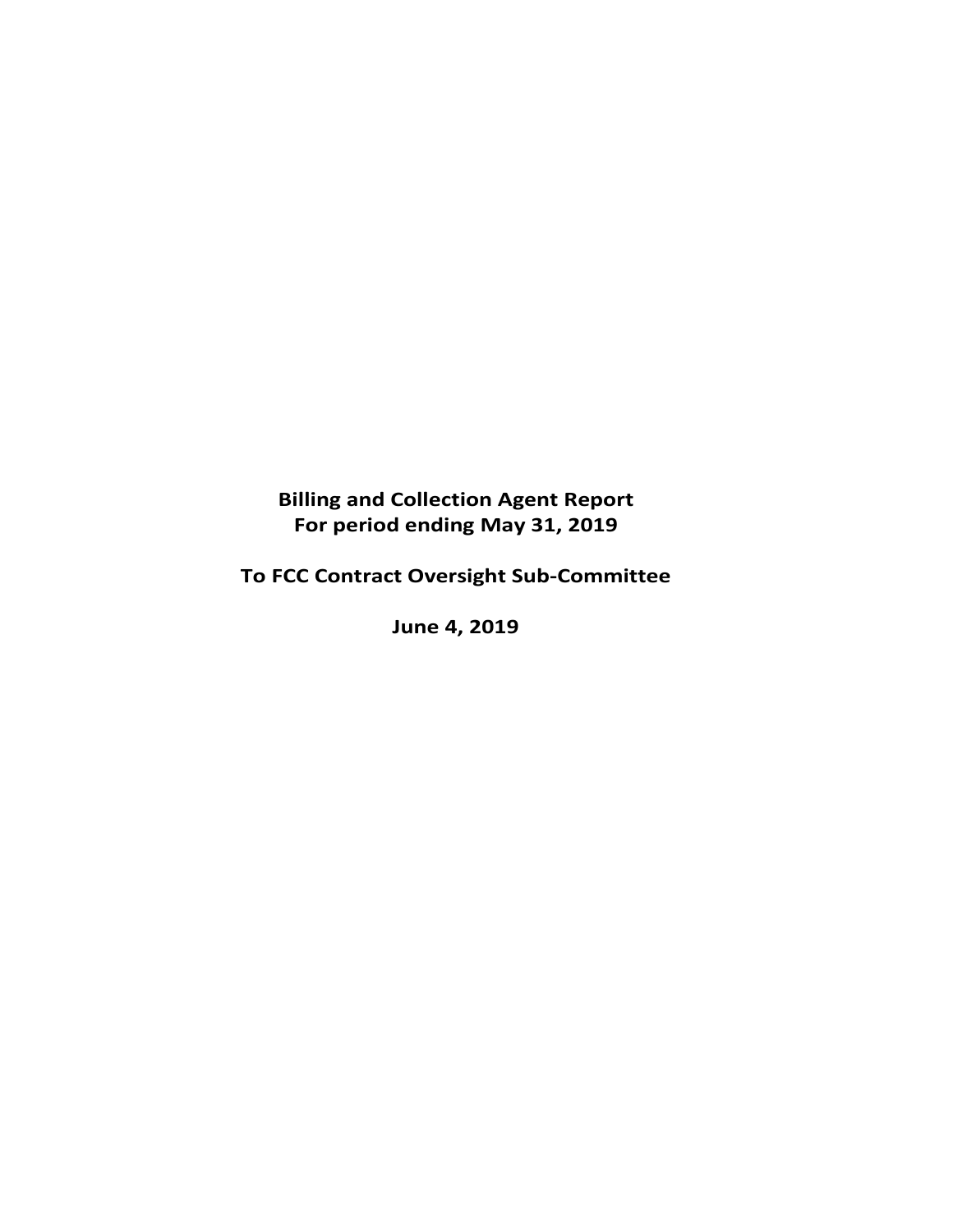# **Billing and Collection Agent Report For period ending May 31, 2019**

# **To FCC Contract Oversight Sub‐Committee**

**June 4, 2019**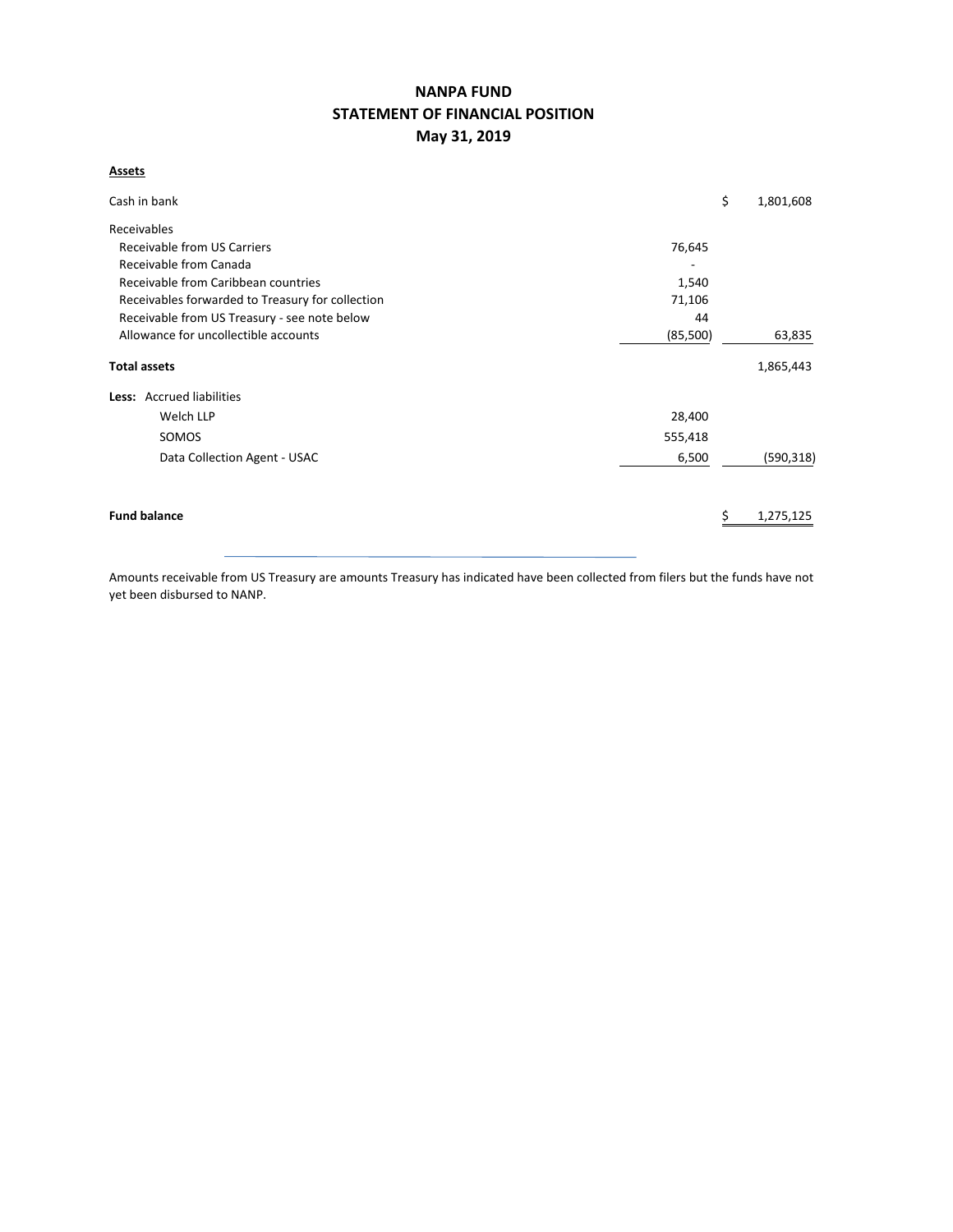# **NANPA FUND STATEMENT OF FINANCIAL POSITION May 31, 2019**

**Assets**

| Cash in bank                                     | \$       | 1,801,608  |
|--------------------------------------------------|----------|------------|
| Receivables                                      |          |            |
| Receivable from US Carriers                      | 76,645   |            |
| Receivable from Canada                           |          |            |
| Receivable from Caribbean countries              | 1,540    |            |
| Receivables forwarded to Treasury for collection | 71,106   |            |
| Receivable from US Treasury - see note below     | 44       |            |
| Allowance for uncollectible accounts             | (85,500) | 63,835     |
| <b>Total assets</b>                              |          | 1,865,443  |
| Less: Accrued liabilities                        |          |            |
| Welch LLP                                        | 28,400   |            |
| SOMOS                                            | 555,418  |            |
| Data Collection Agent - USAC                     | 6,500    | (590, 318) |
|                                                  |          |            |
| <b>Fund balance</b>                              |          | 1,275,125  |
|                                                  |          |            |

Amounts receivable from US Treasury are amounts Treasury has indicated have been collected from filers but the funds have not yet been disbursed to NANP.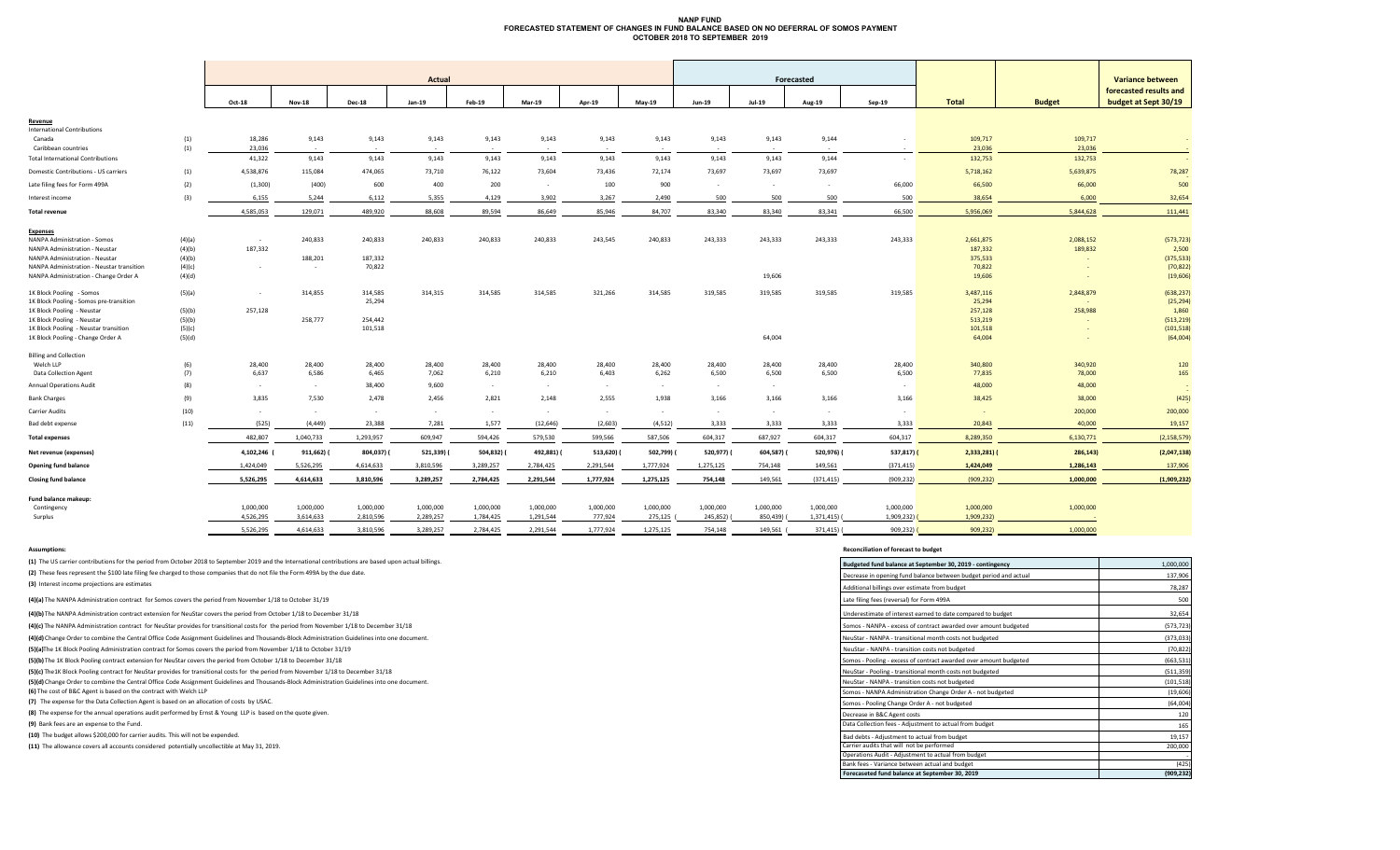#### **NANP FUND FORECASTED STATEMENT OF CHANGES IN FUND BALANCE BASED ON NO DEFERRAL OF SOMOS PAYMENTOCTOBER 2018 TO SEPTEMBER 2019**

|                                           |        | <b>Actual</b> |               |               |           |            |            |           |           |               | Forecasted    |            |             |               | <b>Variance between</b> |                        |
|-------------------------------------------|--------|---------------|---------------|---------------|-----------|------------|------------|-----------|-----------|---------------|---------------|------------|-------------|---------------|-------------------------|------------------------|
|                                           |        |               |               |               |           |            |            |           |           |               |               |            |             |               |                         | forecasted results and |
|                                           |        | Oct-18        | <b>Nov-18</b> | <b>Dec-18</b> | Jan-19    | Feb-19     | Mar-19     | Apr-19    | $May-19$  | <b>Jun-19</b> | <b>Jul-19</b> | Aug-19     | $Sep-19$    | <b>Total</b>  | <b>Budget</b>           | budget at Sept 30/19   |
| Revenue                                   |        |               |               |               |           |            |            |           |           |               |               |            |             |               |                         |                        |
| <b>International Contributions</b>        |        |               |               |               |           |            |            |           |           |               |               |            |             |               |                         |                        |
| Canada                                    | (1)    | 18,286        | 9,143         | 9,143         | 9,143     | 9,143      | 9,143      | 9,143     | 9,143     | 9,143         | 9,143         | 9,144      |             | 109,717       | 109,717                 |                        |
| Caribbean countries                       | (1)    | 23,036        | $\sim$        | $\sim$        | $\sim$    |            |            |           | . .       | $\sim$        |               |            | $\sim$      | 23,036        | 23,036                  |                        |
| <b>Total International Contributions</b>  |        | 41,322        | 9,143         | 9,143         | 9,143     | 9,143      | 9,143      | 9,143     | 9,143     | 9,143         | 9,143         | 9,144      | $\sim$      | 132,753       | 132,753                 |                        |
| Domestic Contributions - US carriers      | (1)    | 4,538,876     | 115,084       | 474,065       | 73,710    | 76,122     | 73,604     | 73,436    | 72,174    | 73,697        | 73,697        | 73,697     |             | 5,718,162     | 5,639,875               | 78,287                 |
| Late filing fees for Form 499A            | (2)    | (1,300)       | (400)         | 600           | 400       | 200        | $\sim$     | 100       | 900       | $\sim$        | $\sim$        | $\sim$     | 66,000      | 66,500        | 66,000                  | 500                    |
| Interest income                           | (3)    | 6,155         | 5,244         | 6,112         | 5,355     | 4,129      | 3,902      | 3,267     | 2,490     | 500           | 500           | 500        | 500         | 38,654        | 6,000                   | 32,654                 |
| <b>Total revenue</b>                      |        | 4,585,053     | 129,071       | 489,920       | 88,608    | 89,594     | 86,649     | 85,946    | 84,707    | 83,340        | 83,340        | 83,341     | 66,500      | 5,956,069     | 5,844,628               | 111,441                |
| <b>Expenses</b>                           |        |               |               |               |           |            |            |           |           |               |               |            |             |               |                         |                        |
| NANPA Administration - Somos              | (4)(a) | $\sim$        | 240,833       | 240,833       | 240,833   | 240,833    | 240,833    | 243,545   | 240,833   | 243,333       | 243,333       | 243,333    | 243,333     | 2,661,875     | 2,088,152               | (573, 723)             |
| NANPA Administration - Neustar            | (4)(b) | 187,332       |               |               |           |            |            |           |           |               |               |            |             | 187,332       | 189,832                 | 2,500                  |
| NANPA Administration - Neustar            | (4)(b) |               | 188,201       | 187,332       |           |            |            |           |           |               |               |            |             | 375,533       |                         | (375, 533)             |
| NANPA Administration - Neustar transition | (4)(c) | $\sim$        | $\sim$        | 70,822        |           |            |            |           |           |               |               |            |             | 70,822        |                         | (70, 822)              |
| NANPA Administration - Change Order A     | (4)(d) |               |               |               |           |            |            |           |           |               | 19,606        |            |             | 19,606        |                         | (19,606)               |
| 1K Block Pooling - Somos                  | (5)(a) | $\sim$        | 314,855       | 314,585       | 314,315   | 314,585    | 314,585    | 321,266   | 314,585   | 319,585       | 319,585       | 319,585    | 319,585     | 3,487,116     | 2,848,879               | (638, 237)             |
| 1K Block Pooling - Somos pre-transition   |        |               |               | 25,294        |           |            |            |           |           |               |               |            |             | 25,294        |                         | (25, 294)              |
| 1K Block Pooling - Neustar                | (5)(b) | 257,128       |               |               |           |            |            |           |           |               |               |            |             | 257,128       | 258,988                 | 1,860                  |
| 1K Block Pooling - Neustar                | (5)(b) |               | 258,777       | 254,442       |           |            |            |           |           |               |               |            |             | 513,219       |                         | (513, 219)             |
| 1K Block Pooling - Neustar transition     | (5)(c) |               |               | 101,518       |           |            |            |           |           |               |               |            |             | 101,518       |                         | (101, 518)             |
| 1K Block Pooling - Change Order A         | (5)(d) |               |               |               |           |            |            |           |           |               | 64,004        |            |             | 64,004        |                         | (64,004)               |
| <b>Billing and Collection</b>             |        |               |               |               |           |            |            |           |           |               |               |            |             |               |                         |                        |
| Welch LLP                                 | (6)    | 28,400        | 28,400        | 28,400        | 28,400    | 28,400     | 28,400     | 28,400    | 28,400    | 28,400        | 28,400        | 28,400     | 28,400      | 340,800       | 340,920                 | 120                    |
| <b>Data Collection Agent</b>              | (7)    | 6,637         | 6,586         | 6,465         | 7,062     | 6,210      | 6,210      | 6,403     | 6,262     | 6,500         | 6,500         | 6,500      | 6,500       | 77,835        | 78,000                  | 165                    |
| <b>Annual Operations Audit</b>            | (8)    | $\sim$        | $\sim$        | 38,400        | 9,600     | $\sim$     | $\sim$     | $\sim$    |           | $\sim$        | $\sim$        |            | $\sim$      | 48,000        | 48,000                  |                        |
| <b>Bank Charges</b>                       | (9)    | 3,835         | 7,530         | 2,478         | 2,456     | 2,821      | 2,148      | 2,555     | 1,938     | 3,166         | 3,166         | 3,166      | 3,166       | 38,425        | 38,000                  | (425)                  |
| <b>Carrier Audits</b>                     | (10)   | $\sim$        | $\sim$        | $\sim$        | $\sim$    |            | $\sim$     | $\sim$    | $\sim$    | $\sim$        | $\sim$        | $\sim$     | $\sim$      | $\sim$        | 200,000                 | 200,000                |
| Bad debt expense                          | (11)   | (525)         | (4, 449)      | 23,388        | 7,281     | 1,577      | (12, 646)  | (2,603)   | (4,512)   | 3,333         | 3,333         | 3,333      | 3,333       | 20,843        | 40,000                  | 19,157                 |
| <b>Total expenses</b>                     |        | 482,807       | 1,040,733     | 1,293,957     | 609,947   | 594,426    | 579,530    | 599,566   | 587,506   | 604,317       | 687,927       | 604,317    | 604,317     | 8,289,350     | 6,130,771               | (2, 158, 579)          |
| Net revenue (expenses)                    |        | 4,102,246     | 911,662)      | 804,037) (    | 521,339)  | 504,832) ( | 492,881) ( | 513,620)  | 502,799)  | 520,977)      | 604,587) (    | 520,976) ( | $537,817$ ( | $2,333,281$ ( | 286,143)                | (2,047,138)            |
| Opening fund balance                      |        | 1,424,049     | 5,526,295     | 4,614,633     | 3,810,596 | 3,289,257  | 2,784,425  | 2,291,544 | 1,777,924 | 1,275,125     | 754,148       | 149,561    | (371, 415)  | 1,424,049     | 1,286,143               | 137,906                |
| <b>Closing fund balance</b>               |        | 5,526,295     | 4,614,633     | 3,810,596     | 3,289,257 | 2,784,425  | 2,291,544  | 1,777,924 | 1,275,125 | 754,148       | 149,561       | (371, 415) | (909, 232)  | (909, 232)    | 1,000,000               | (1,909,232)            |
| Fund balance makeup:                      |        |               |               |               |           |            |            |           |           |               |               |            |             |               |                         |                        |
| Contingency                               |        | 1,000,000     | 1,000,000     | 1,000,000     | 1,000,000 | 1,000,000  | 1,000,000  | 1,000,000 | 1,000,000 | 1,000,000     | 1,000,000     | 1,000,000  | 1,000,000   | 1,000,000     | 1,000,000               |                        |
| Surplus                                   |        | 4,526,295     | 3,614,633     | 2,810,596     | 2,289,257 | 1,784,425  | 1,291,544  | 777,924   | 275,125   | 245,852)      | 850,439)      | 1,371,415) | 1,909,232)  | 1,909,232)    |                         |                        |
|                                           |        |               |               |               |           |            |            |           |           |               |               |            |             |               |                         |                        |
|                                           |        | 5,526,295     | 4,614,633     | 3.810.596     | 3,289,257 | 2,784,425  | 2,291,544  | 1,777,924 | 1,275,125 | 754,148       | 149,561 (     | 371,415) ( | 909,232     | 909,232)      | 1,000,000               |                        |

(2) These fees represent the \$100 late filing fee charged to those companies that do not file the Form 499A by the due date. **(1)** The US carrier contributions for the period from October 2018 to September 2019 and the International contributions are based upon actual billings.

#### **Assumptions: Reconciliation of forecast to budget**

| (1) The US carrier contributions for the period from October 2018 to September 2019 and the International contributions are based upon actual billings. | Budgeted fund balance at September 30, 2019 - contingency         | 1,000,000  |
|---------------------------------------------------------------------------------------------------------------------------------------------------------|-------------------------------------------------------------------|------------|
| (2) These fees represent the \$100 late filing fee charged to those companies that do not file the Form 499A by the due date.                           | Decrease in opening fund balance between budget period and actual | 137,906    |
| (3) Interest income projections are estimates                                                                                                           | Additional billings over estimate from budget                     | 78,287     |
| (4)(a) The NANPA Administration contract for Somos covers the period from November 1/18 to October 31/19                                                | Late filing fees (reversal) for Form 499A                         | 500        |
| (4)(b) The NANPA Administration contract extension for NeuStar covers the period from October 1/18 to December 31/18                                    | Underestimate of interest earned to date compared to budget       | 32,654     |
| (4)(c) The NANPA Administration contract for NeuStar provides for transitional costs for the period from November 1/18 to December 31/18                | Somos - NANPA - excess of contract awarded over amount budgeted   | (573, 723) |
| (4)(d) Change Order to combine the Central Office Code Assignment Guidelines and Thousands-Block Administration Guidelines into one document.           | NeuStar - NANPA - transitional month costs not budgeted           | (373, 033) |
| (5)(a)The 1K Block Pooling Administration contract for Somos covers the period from November 1/18 to October 31/19                                      | NeuStar - NANPA - transition costs not budgeted                   | (70, 822)  |
| (5)(b) The 1K Block Pooling contract extension for NeuStar covers the period from October 1/18 to December 31/18                                        | Somos - Pooling - excess of contract awarded over amount budgeted | (663, 531) |
| (5)(c) The 1K Block Pooling contract for NeuStar provides for transitional costs for the period from November 1/18 to December 31/18                    | NeuStar - Pooling - transitional month costs not budgeted         | (511, 359) |
| (5)(d) Change Order to combine the Central Office Code Assignment Guidelines and Thousands-Block Administration Guidelines into one document.           | NeuStar - NANPA - transition costs not budgeted                   | (101, 518) |
| (6) The cost of B&C Agent is based on the contract with Welch LLP                                                                                       | Somos - NANPA Administration Change Order A - not budgeted        | (19, 606)  |
| (7) The expense for the Data Collection Agent is based on an allocation of costs by USAC.                                                               | Somos - Pooling Change Order A - not budgeted                     | (64,004)   |
| (8) The expense for the annual operations audit performed by Ernst & Young LLP is based on the quote given.                                             | Decrease in B&C Agent costs                                       | 120        |
| (9) Bank fees are an expense to the Fund.                                                                                                               | Data Collection fees - Adjustment to actual from budget           | 165        |
| (10) The budget allows \$200,000 for carrier audits. This will not be expended.                                                                         | Bad debts - Adjustment to actual from budget                      | 19,157     |
| (11) The allowance covers all accounts considered potentially uncollectible at May 31, 2019.                                                            | Carrier audits that will not be performed                         | 200,000    |
|                                                                                                                                                         | Operations Audit - Adjustment to actual from budget               |            |
|                                                                                                                                                         | Bank fees - Variance between actual and budget                    | (425)      |
|                                                                                                                                                         | Forecaseted fund balance at September 30, 2019                    | (909,232   |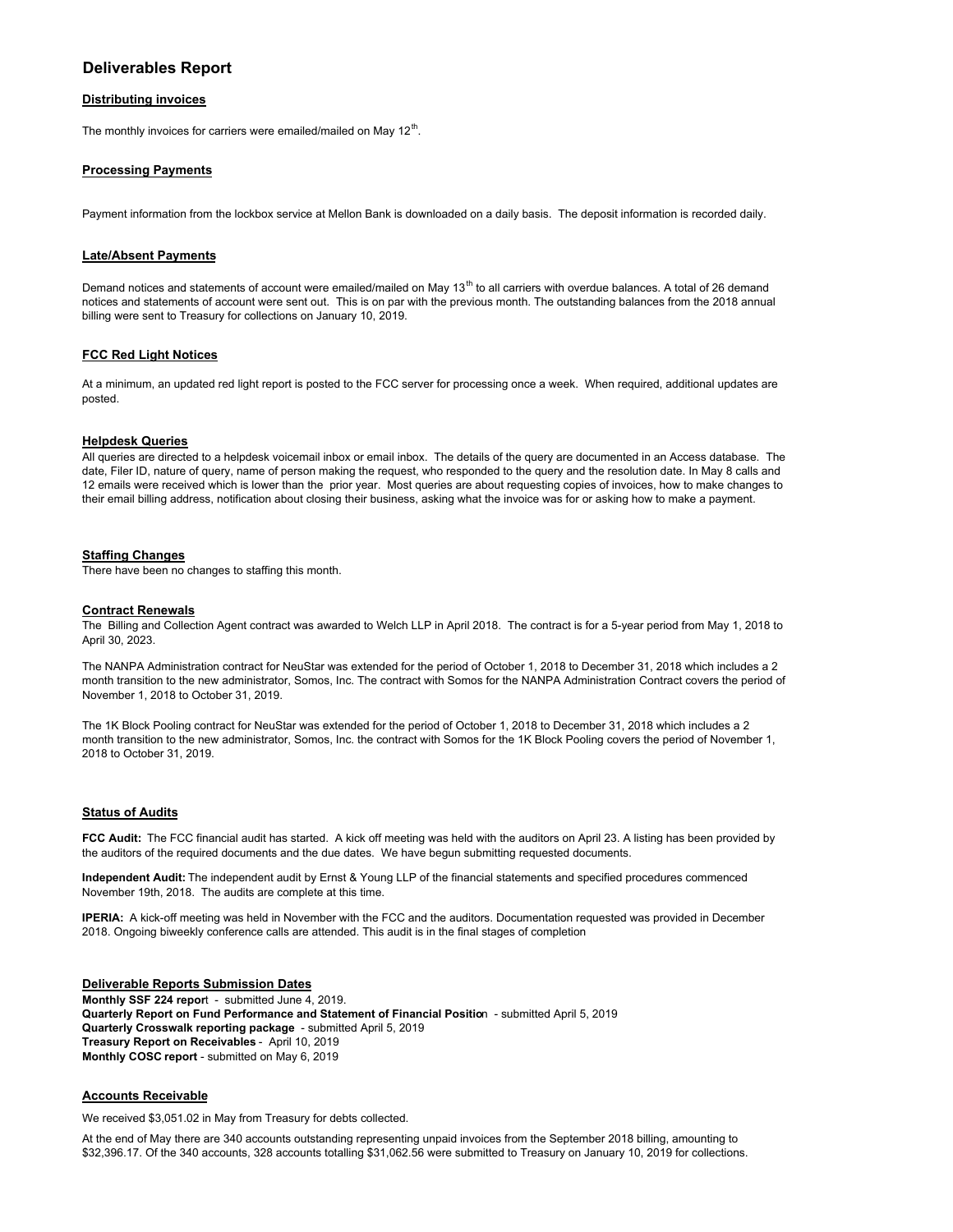# **Deliverables Report**

## **Distributing invoices**

The monthly invoices for carriers were emailed/mailed on May  $12<sup>th</sup>$ .

## **Processing Payments**

Payment information from the lockbox service at Mellon Bank is downloaded on a daily basis. The deposit information is recorded daily.

## **Late/Absent Payments**

Demand notices and statements of account were emailed/mailed on May 13<sup>th</sup> to all carriers with overdue balances. A total of 26 demand notices and statements of account were sent out. This is on par with the previous month. The outstanding balances from the 2018 annual billing were sent to Treasury for collections on January 10, 2019.

#### **FCC Red Light Notices**

At a minimum, an updated red light report is posted to the FCC server for processing once a week. When required, additional updates are posted.

#### **Helpdesk Queries**

All queries are directed to a helpdesk voicemail inbox or email inbox. The details of the query are documented in an Access database. The date, Filer ID, nature of query, name of person making the request, who responded to the query and the resolution date. In May 8 calls and 12 emails were received which is lower than the prior year. Most queries are about requesting copies of invoices, how to make changes to their email billing address, notification about closing their business, asking what the invoice was for or asking how to make a payment.

### **Staffing Changes**

There have been no changes to staffing this month.

#### **Contract Renewals**

The Billing and Collection Agent contract was awarded to Welch LLP in April 2018. The contract is for a 5-year period from May 1, 2018 to April 30, 2023.

The NANPA Administration contract for NeuStar was extended for the period of October 1, 2018 to December 31, 2018 which includes a 2 month transition to the new administrator, Somos, Inc. The contract with Somos for the NANPA Administration Contract covers the period of November 1, 2018 to October 31, 2019.

The 1K Block Pooling contract for NeuStar was extended for the period of October 1, 2018 to December 31, 2018 which includes a 2 month transition to the new administrator, Somos, Inc. the contract with Somos for the 1K Block Pooling covers the period of November 1, 2018 to October 31, 2019.

#### **Status of Audits**

**FCC Audit:** The FCC financial audit has started. A kick off meeting was held with the auditors on April 23. A listing has been provided by the auditors of the required documents and the due dates. We have begun submitting requested documents.

**Independent Audit:** The independent audit by Ernst & Young LLP of the financial statements and specified procedures commenced November 19th, 2018. The audits are complete at this time.

**IPERIA:** A kick-off meeting was held in November with the FCC and the auditors. Documentation requested was provided in December 2018. Ongoing biweekly conference calls are attended. This audit is in the final stages of completion

#### **Deliverable Reports Submission Dates**

**Monthly SSF 224 repor**t - submitted June 4, 2019. **Quarterly Report on Fund Performance and Statement of Financial Positio**n - submitted April 5, 2019 **Quarterly Crosswalk reporting package** - submitted April 5, 2019 **Treasury Report on Receivables** - April 10, 2019 **Monthly COSC report** - submitted on May 6, 2019

#### **Accounts Receivable**

We received \$3,051.02 in May from Treasury for debts collected.

At the end of May there are 340 accounts outstanding representing unpaid invoices from the September 2018 billing, amounting to \$32,396.17. Of the 340 accounts, 328 accounts totalling \$31,062.56 were submitted to Treasury on January 10, 2019 for collections.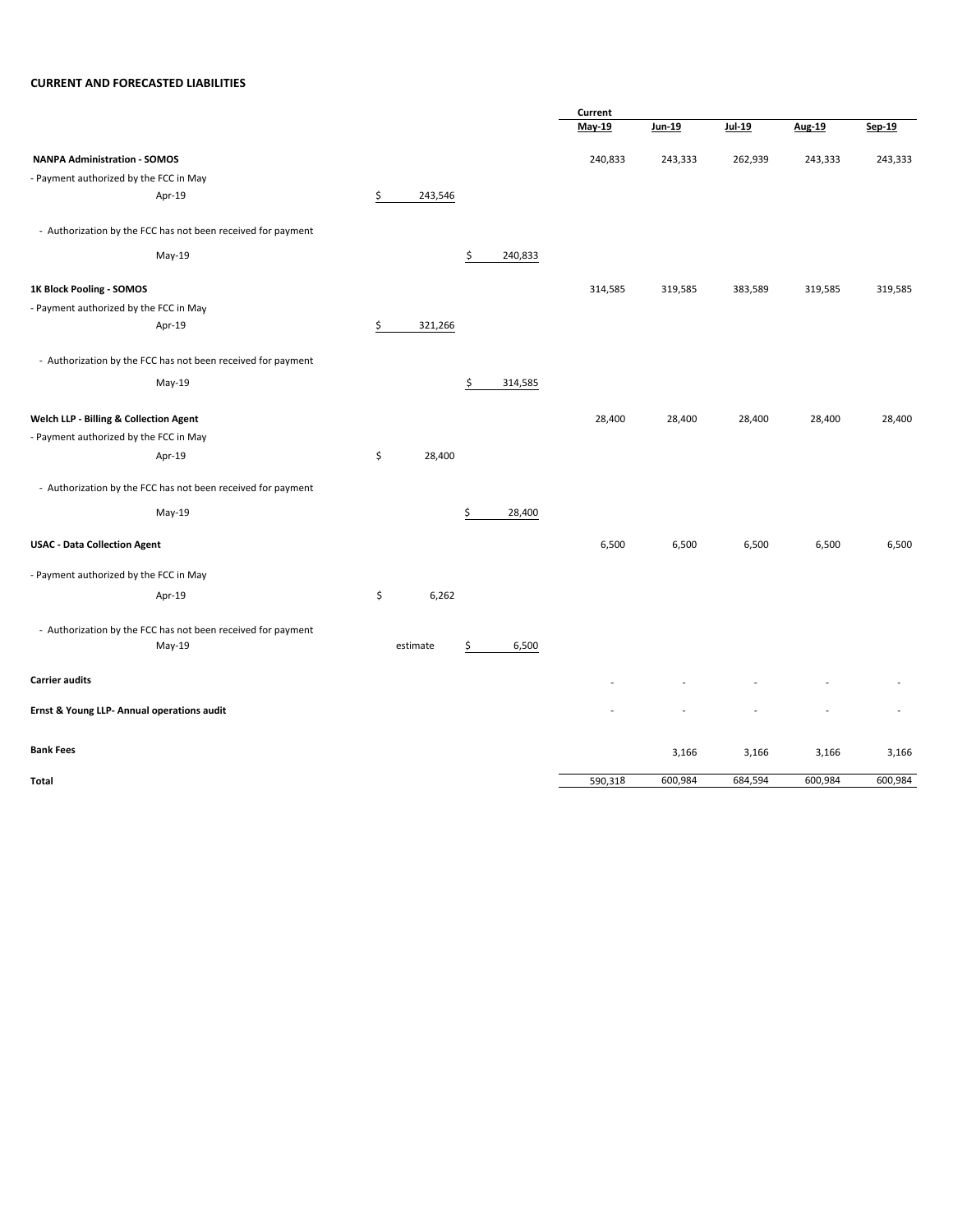# **CURRENT AND FORECASTED LIABILITIES**

|                                                              |               |               | Current |         |         |         |                |  |
|--------------------------------------------------------------|---------------|---------------|---------|---------|---------|---------|----------------|--|
|                                                              |               |               | May-19  | Jun-19  | Jul-19  | Aug-19  | Sep-19         |  |
| <b>NANPA Administration - SOMOS</b>                          |               |               | 240,833 | 243,333 | 262,939 | 243,333 | 243,333        |  |
| - Payment authorized by the FCC in May                       |               |               |         |         |         |         |                |  |
| Apr-19                                                       | \$<br>243,546 |               |         |         |         |         |                |  |
| - Authorization by the FCC has not been received for payment |               |               |         |         |         |         |                |  |
| May-19                                                       |               | \$<br>240,833 |         |         |         |         |                |  |
| 1K Block Pooling - SOMOS                                     |               |               | 314,585 | 319,585 | 383,589 | 319,585 | 319,585        |  |
| - Payment authorized by the FCC in May                       |               |               |         |         |         |         |                |  |
| Apr-19                                                       | \$<br>321,266 |               |         |         |         |         |                |  |
| - Authorization by the FCC has not been received for payment |               |               |         |         |         |         |                |  |
| May-19                                                       |               | Ŝ<br>314,585  |         |         |         |         |                |  |
| Welch LLP - Billing & Collection Agent                       |               |               | 28,400  | 28,400  | 28,400  | 28,400  | 28,400         |  |
| - Payment authorized by the FCC in May                       |               |               |         |         |         |         |                |  |
| Apr-19                                                       | \$<br>28,400  |               |         |         |         |         |                |  |
| - Authorization by the FCC has not been received for payment |               |               |         |         |         |         |                |  |
| May-19                                                       |               | \$<br>28,400  |         |         |         |         |                |  |
| <b>USAC - Data Collection Agent</b>                          |               |               | 6,500   | 6,500   | 6,500   | 6,500   | 6,500          |  |
| - Payment authorized by the FCC in May                       |               |               |         |         |         |         |                |  |
| Apr-19                                                       | \$<br>6,262   |               |         |         |         |         |                |  |
| - Authorization by the FCC has not been received for payment |               |               |         |         |         |         |                |  |
| May-19                                                       | estimate      | 6,500<br>Ś    |         |         |         |         |                |  |
| <b>Carrier audits</b>                                        |               |               |         |         |         |         |                |  |
| Ernst & Young LLP- Annual operations audit                   |               |               |         |         |         |         | $\overline{a}$ |  |
| <b>Bank Fees</b>                                             |               |               |         | 3,166   | 3,166   | 3,166   | 3,166          |  |
| Total                                                        |               |               | 590,318 | 600,984 | 684,594 | 600,984 | 600,984        |  |
|                                                              |               |               |         |         |         |         |                |  |